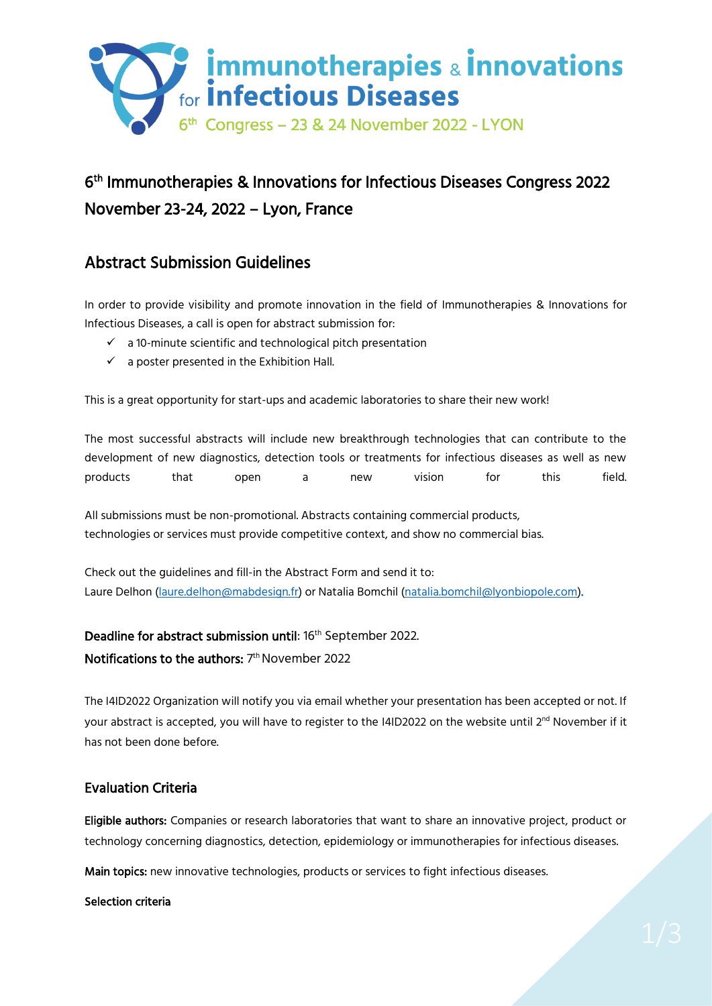

# 6 th Immunotherapies & Innovations for Infectious Diseases Congress 2022 November 23-24, 2022 – Lyon, France

# Abstract Submission Guidelines

In order to provide visibility and promote innovation in the field of Immunotherapies & Innovations for Infectious Diseases, a call is open for abstract submission for:

- ✓ a 10-minute scientific and technological pitch presentation
- $\checkmark$  a poster presented in the Exhibition Hall.

This is a great opportunity for start-ups and academic laboratories to share their new work!

The most successful abstracts will include new breakthrough technologies that can contribute to the development of new diagnostics, detection tools or treatments for infectious diseases as well as new products that open a new vision for this field.

All submissions must be non-promotional. Abstracts containing commercial products, technologies or services must provide competitive context, and show no commercial bias.

Check out the guidelines and fill-in the Abstract Form and send it to: Laure Delhon [\(laure.delhon@mabdesign.fr\)](mailto:laure.delhon@mabdesign.fr) or Natalia Bomchil [\(natalia.bomchil@lyonbiopole.com\)](mailto:natalia.bomchil@lyonbiopole.com).

# **Deadline for abstract submission until**: 16<sup>th</sup> September 2022.

### $\mathsf{Notifications}\ \mathsf{to}\ \mathsf{the}\ \mathsf{authors}\ \mathsf{I}^{\mathsf{th}}\ \mathsf{November}\ 2022$

The I4ID2022 Organization will notify you via email whether your presentation has been accepted or not. If your abstract is accepted, you will have to register to the I4ID2022 on the website until 2<sup>nd</sup> November if it has not been done before.

# Evaluation Criteria

Eligible authors: Companies or research laboratories that want to share an innovative project, product or technology concerning diagnostics, detection, epidemiology or immunotherapies for infectious diseases.

Main topics: new innovative technologies, products or services to fight infectious diseases.

#### Selection criteria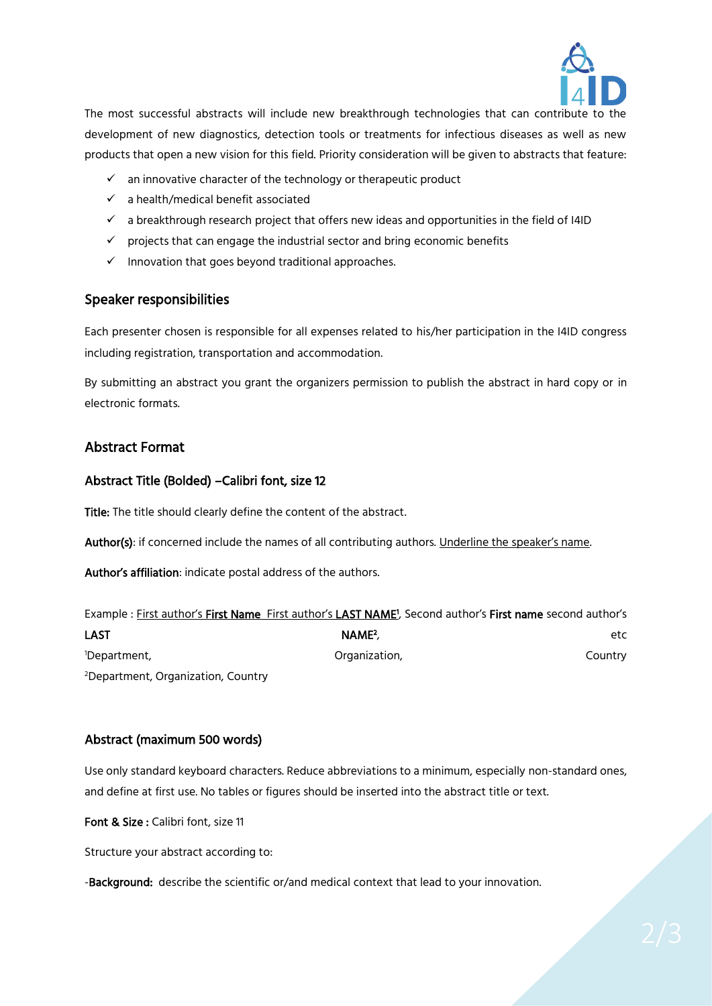

The most successful abstracts will include new breakthrough technologies that can contribute to the development of new diagnostics, detection tools or treatments for infectious diseases as well as new products that open a new vision for this field. Priority consideration will be given to abstracts that feature:

- ✓ an innovative character of the technology or therapeutic product
- ✓ a health/medical benefit associated
- $\checkmark$  a breakthrough research project that offers new ideas and opportunities in the field of I4ID
- $\checkmark$  projects that can engage the industrial sector and bring economic benefits
- $\checkmark$  Innovation that goes beyond traditional approaches.

#### Speaker responsibilities

Each presenter chosen is responsible for all expenses related to his/her participation in the I4ID congress including registration, transportation and accommodation.

By submitting an abstract you grant the organizers permission to publish the abstract in hard copy or in electronic formats.

#### Abstract Format

#### Abstract Title (Bolded) –Calibri font, size 12

Title: The title should clearly define the content of the abstract.

Author(s): if concerned include the names of all contributing authors. Underline the speaker's name.

Author's affiliation: indicate postal address of the authors.

|                                                | Example: First author's First Name First author's LAST NAME <sup>1</sup> , Second author's First name second author's |         |
|------------------------------------------------|-----------------------------------------------------------------------------------------------------------------------|---------|
| LAST                                           | NAME <sup>2</sup>                                                                                                     | etc.    |
| <sup>1</sup> Department,                       | Organization,                                                                                                         | Country |
| <sup>2</sup> Department, Organization, Country |                                                                                                                       |         |

#### Abstract (maximum 500 words)

Use only standard keyboard characters. Reduce abbreviations to a minimum, especially non-standard ones, and define at first use. No tables or figures should be inserted into the abstract title or text.

Font & Size : Calibri font, size 11

Structure your abstract according to:

-Background: describe the scientific or/and medical context that lead to your innovation.